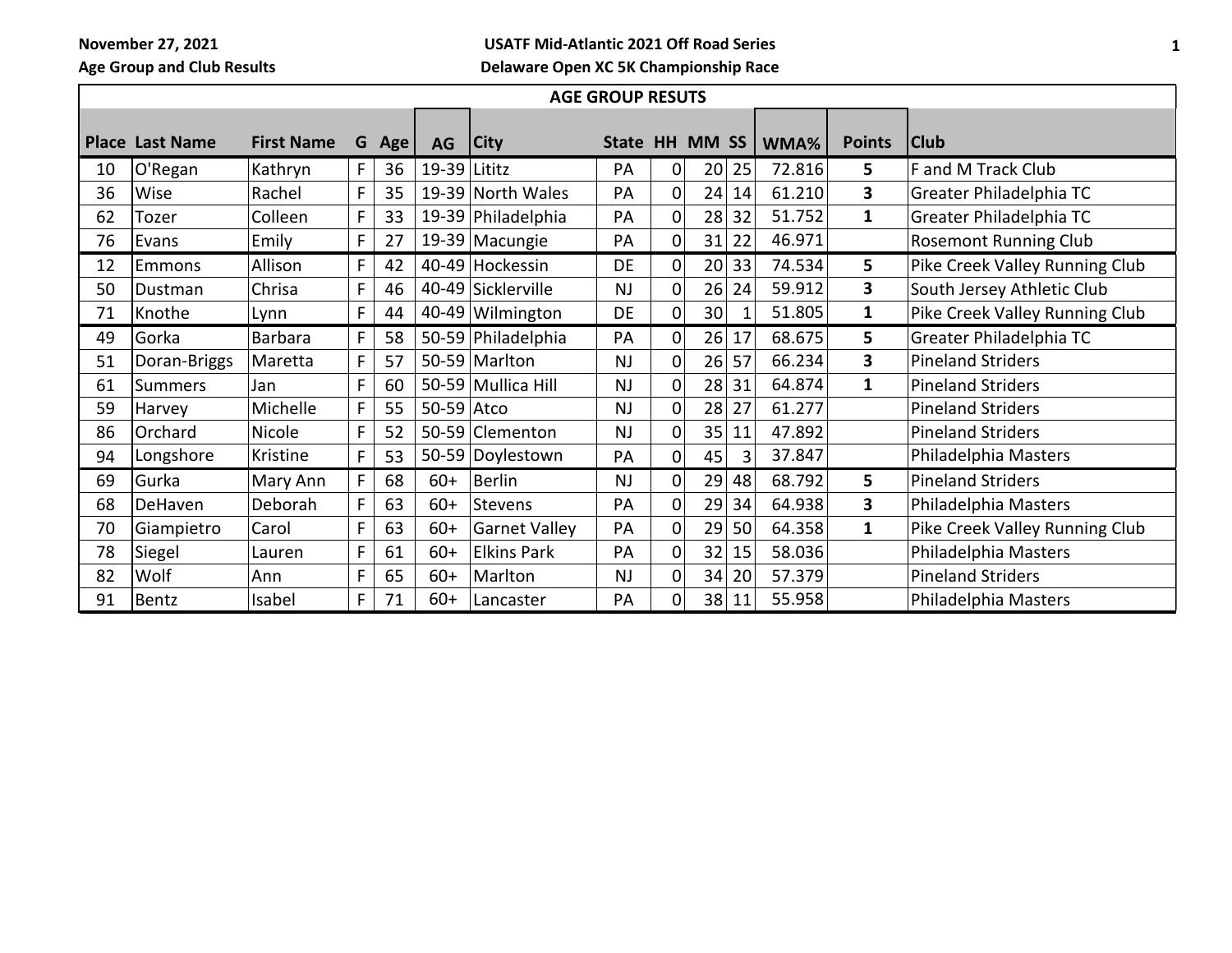| <b>AGE GROUP RESUTS</b> |                        |                   |   |     |                |                    |                |                |    |    |        |                         |                                |
|-------------------------|------------------------|-------------------|---|-----|----------------|--------------------|----------------|----------------|----|----|--------|-------------------------|--------------------------------|
|                         | <b>Place Last Name</b> | <b>First Name</b> | G |     |                |                    | State HH MM SS |                |    |    |        | <b>Points</b>           | <b>Club</b>                    |
|                         |                        |                   |   | Age | AG             | <b>City</b>        |                |                |    |    | WMA%   |                         |                                |
| 10                      | O'Regan                | Kathryn           | F | 36  | $19-39$ Lititz |                    | PA             | 0              | 20 | 25 | 72.816 | 5                       | F and M Track Club             |
| 36                      | Wise                   | Rachel            | F | 35  |                | 19-39 North Wales  | PA             | $\overline{0}$ | 24 | 14 | 61.210 | $\overline{\mathbf{3}}$ | Greater Philadelphia TC        |
| 62                      | Tozer                  | Colleen           | F | 33  |                | 19-39 Philadelphia | PA             | $\Omega$       | 28 | 32 | 51.752 | $\mathbf{1}$            | Greater Philadelphia TC        |
| 76                      | Evans                  | Emily             | F | 27  |                | 19-39 Macungie     | PA             | 0              | 31 | 22 | 46.971 |                         | <b>Rosemont Running Club</b>   |
| 12                      | Emmons                 | Allison           | F | 42  |                | 40-49 Hockessin    | DE             | $\overline{0}$ | 20 | 33 | 74.534 | 5                       | Pike Creek Valley Running Club |
| 50                      | Dustman                | Chrisa            | F | 46  |                | 40-49 Sicklerville | <b>NJ</b>      | $\Omega$       | 26 | 24 | 59.912 | 3                       | South Jersey Athletic Club     |
| 71                      | Knothe                 | Lynn              | F | 44  |                | 40-49 Wilmington   | DE             | 0              | 30 | 1  | 51.805 | $\mathbf{1}$            | Pike Creek Valley Running Club |
| 49                      | Gorka                  | <b>Barbara</b>    | F | 58  |                | 50-59 Philadelphia | PA             | $\overline{0}$ | 26 | 17 | 68.675 | 5                       | Greater Philadelphia TC        |
| 51                      | Doran-Briggs           | Maretta           | F | 57  |                | 50-59 Marlton      | <b>NJ</b>      | $\Omega$       | 26 | 57 | 66.234 | 3                       | <b>Pineland Striders</b>       |
| 61                      | Summers                | Jan               | F | 60  |                | 50-59 Mullica Hill | <b>NJ</b>      | $\overline{0}$ | 28 | 31 | 64.874 | $\mathbf{1}$            | <b>Pineland Striders</b>       |
| 59                      | Harvey                 | Michelle          | F | 55  | 50-59 Atco     |                    | NJ             | $\Omega$       | 28 | 27 | 61.277 |                         | <b>Pineland Striders</b>       |
| 86                      | Orchard                | Nicole            | F | 52  |                | 50-59 Clementon    | <b>NJ</b>      | $\Omega$       | 35 | 11 | 47.892 |                         | <b>Pineland Striders</b>       |
| 94                      | Longshore              | Kristine          | F | 53  |                | 50-59 Doylestown   | PA             | 01             | 45 | 3  | 37.847 |                         | Philadelphia Masters           |
| 69                      | Gurka                  | Mary Ann          | F | 68  | $60+$          | Berlin             | <b>NJ</b>      | 0              | 29 | 48 | 68.792 | 5 <sup>1</sup>          | <b>Pineland Striders</b>       |
| 68                      | DeHaven                | Deborah           | F | 63  | $60+$          | Stevens            | PA             | $\Omega$       | 29 | 34 | 64.938 | $\overline{\mathbf{3}}$ | Philadelphia Masters           |
| 70                      | Giampietro             | Carol             | F | 63  | $60+$          | Garnet Valley      | PA             | $\Omega$       | 29 | 50 | 64.358 | $\mathbf{1}$            | Pike Creek Valley Running Club |
| 78                      | Siegel                 | Lauren            | F | 61  | $60+$          | <b>Elkins Park</b> | PA             | $\overline{0}$ | 32 | 15 | 58.036 |                         | Philadelphia Masters           |
| 82                      | Wolf                   | Ann               | F | 65  | $60+$          | Marlton            | NJ             | $\overline{0}$ | 34 | 20 | 57.379 |                         | <b>Pineland Striders</b>       |
| 91                      | Bentz                  | Isabel            | F | 71  | $60+$          | Lancaster          | PA             | 0              | 38 | 11 | 55.958 |                         | Philadelphia Masters           |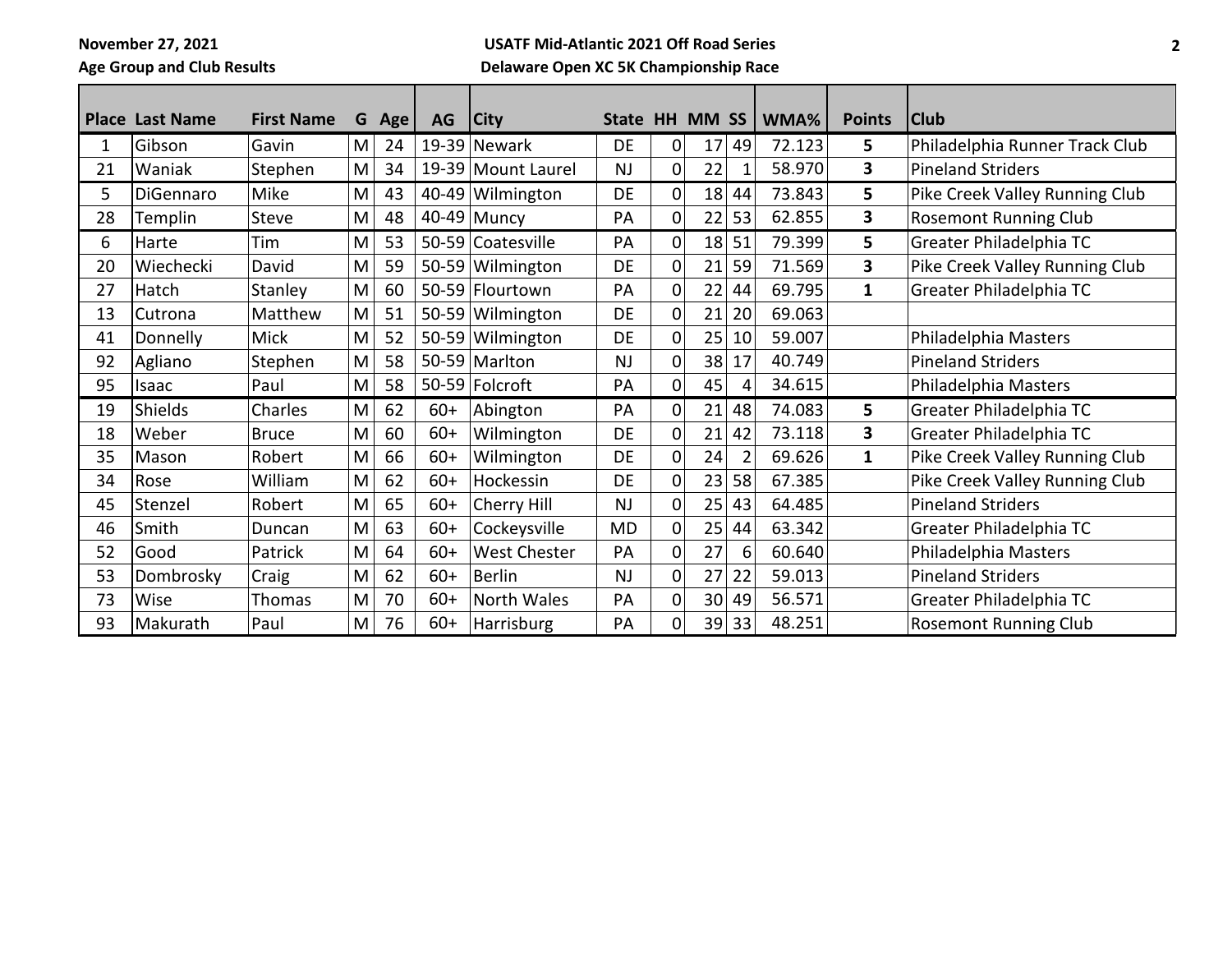|    | <b>Place Last Name</b> | <b>First Name</b> | G | Age | AG    | <b>City</b>         | <b>State</b> |                | HH MM SS |    | WMA%   | <b>Points</b> | <b>Club</b>                    |
|----|------------------------|-------------------|---|-----|-------|---------------------|--------------|----------------|----------|----|--------|---------------|--------------------------------|
| 1  | Gibson                 | Gavin             | M | 24  |       | 19-39 Newark        | <b>DE</b>    | 0              | 17       | 49 | 72.123 | 5             | Philadelphia Runner Track Club |
| 21 | Waniak                 | Stephen           | M | 34  |       | 19-39 Mount Laurel  | <b>NJ</b>    | 0              | 22       |    | 58.970 | 3             | <b>Pineland Striders</b>       |
| 5  | DiGennaro              | Mike              | M | 43  |       | 40-49 Wilmington    | DE           | $\Omega$       | 18       | 44 | 73.843 | 5             | Pike Creek Valley Running Club |
| 28 | Templin                | <b>Steve</b>      | M | 48  |       | $40-49$ Muncy       | PA           | 0              | 22       | 53 | 62.855 | 3             | <b>Rosemont Running Club</b>   |
| 6  | Harte                  | Tim               | M | 53  |       | 50-59 Coatesville   | PA           | $\overline{0}$ | 18       | 51 | 79.399 | 5             | Greater Philadelphia TC        |
| 20 | Wiechecki              | David             | M | 59  |       | 50-59 Wilmington    | DE           | 0              | 21       | 59 | 71.569 | 3             | Pike Creek Valley Running Club |
| 27 | Hatch                  | Stanley           | M | 60  |       | 50-59 Flourtown     | PA           | $\Omega$       | 22       | 44 | 69.795 | $\mathbf{1}$  | Greater Philadelphia TC        |
| 13 | Cutrona                | Matthew           | M | 51  |       | 50-59 Wilmington    | <b>DE</b>    | 0              | 21       | 20 | 69.063 |               |                                |
| 41 | Donnelly               | Mick              | M | 52  |       | 50-59 Wilmington    | DE           | 0              | 25       | 10 | 59.007 |               | Philadelphia Masters           |
| 92 | Agliano                | Stephen           | M | 58  |       | 50-59 Marlton       | <b>NJ</b>    | 0              | 38       | 17 | 40.749 |               | <b>Pineland Striders</b>       |
| 95 | Isaac                  | Paul              | M | 58  |       | 50-59 Folcroft      | PA           | 0              | 45       | 4  | 34.615 |               | Philadelphia Masters           |
| 19 | <b>Shields</b>         | Charles           | M | 62  | $60+$ | Abington            | PA           | $\overline{0}$ | 21       | 48 | 74.083 | 5             | Greater Philadelphia TC        |
| 18 | Weber                  | <b>Bruce</b>      | M | 60  | $60+$ | Wilmington          | <b>DE</b>    | 0              | 21       | 42 | 73.118 | 3             | Greater Philadelphia TC        |
| 35 | Mason                  | Robert            | M | 66  | $60+$ | Wilmington          | <b>DE</b>    | $\Omega$       | 24       |    | 69.626 | $\mathbf{1}$  | Pike Creek Valley Running Club |
| 34 | Rose                   | William           | M | 62  | $60+$ | Hockessin           | <b>DE</b>    | 0              | 23       | 58 | 67.385 |               | Pike Creek Valley Running Club |
| 45 | Stenzel                | Robert            | M | 65  | $60+$ | Cherry Hill         | <b>NJ</b>    | $\Omega$       | 25       | 43 | 64.485 |               | <b>Pineland Striders</b>       |
| 46 | Smith                  | Duncan            | M | 63  | $60+$ | Cockeysville        | <b>MD</b>    | 0              | 25       | 44 | 63.342 |               | Greater Philadelphia TC        |
| 52 | Good                   | Patrick           | M | 64  | $60+$ | <b>West Chester</b> | PA           | $\overline{0}$ | 27       | 6  | 60.640 |               | Philadelphia Masters           |
| 53 | Dombrosky              | Craig             | M | 62  | $60+$ | Berlin              | <b>NJ</b>    | 0              | 27       | 22 | 59.013 |               | <b>Pineland Striders</b>       |
| 73 | Wise                   | <b>Thomas</b>     | M | 70  | $60+$ | North Wales         | PA           | $\Omega$       | 30       | 49 | 56.571 |               | Greater Philadelphia TC        |
| 93 | Makurath               | Paul              | M | 76  | $60+$ | Harrisburg          | PA           | 0              | 39       | 33 | 48.251 |               | <b>Rosemont Running Club</b>   |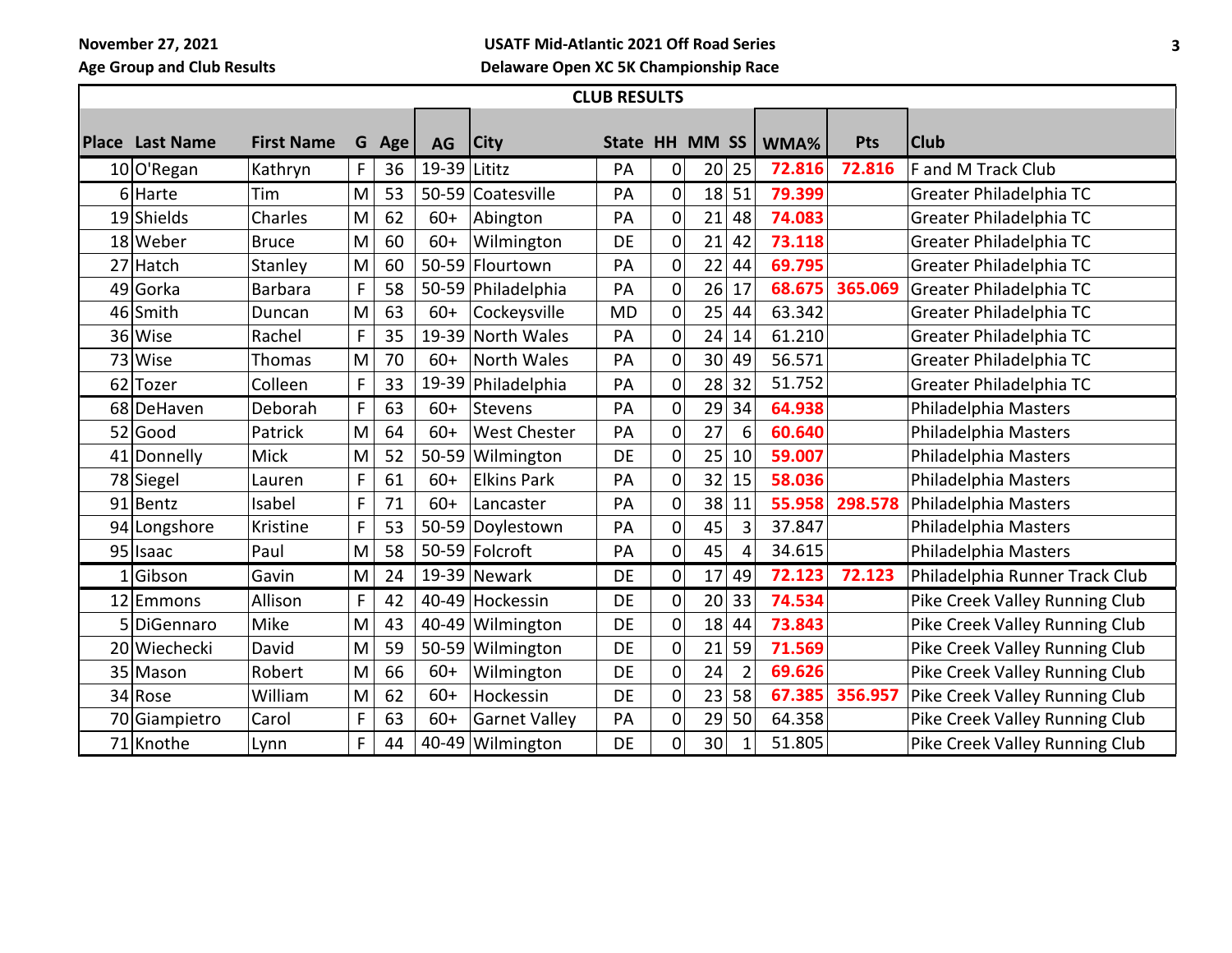| <b>CLUB RESULTS</b> |                        |                   |   |     |              |                      |                       |             |    |                |        |         |                                |
|---------------------|------------------------|-------------------|---|-----|--------------|----------------------|-----------------------|-------------|----|----------------|--------|---------|--------------------------------|
|                     | <b>Place Last Name</b> | <b>First Name</b> | G | Age | <b>AG</b>    | <b>City</b>          | <b>State HH MM SS</b> |             |    |                | WMA%   | Pts     | <b>Club</b>                    |
|                     | 10 O'Regan             | Kathryn           | F | 36  | 19-39 Lititz |                      | PA                    | 0           | 20 | 25             | 72.816 | 72.816  | F and M Track Club             |
|                     | 6 Harte                | Tim               | M | 53  |              | 50-59 Coatesville    | PA                    | 0           | 18 | 51             | 79.399 |         | Greater Philadelphia TC        |
|                     | 19 Shields             | Charles           | M | 62  | $60+$        | Abington             | PA                    | 0           | 21 | 48             | 74.083 |         | Greater Philadelphia TC        |
|                     | 18 Weber               | <b>Bruce</b>      | M | 60  | $60+$        | Wilmington           | <b>DE</b>             | $\mathbf 0$ | 21 | 42             | 73.118 |         | Greater Philadelphia TC        |
|                     | $27$ Hatch             | Stanley           | M | 60  |              | 50-59 Flourtown      | PA                    | 0           | 22 | 44             | 69.795 |         | Greater Philadelphia TC        |
|                     | 49 Gorka               | <b>Barbara</b>    | F | 58  |              | 50-59 Philadelphia   | PA                    | 0           | 26 | 17             | 68.675 | 365.069 | Greater Philadelphia TC        |
|                     | 46 Smith               | Duncan            | M | 63  | $60+$        | Cockeysville         | <b>MD</b>             | 0           | 25 | 44             | 63.342 |         | Greater Philadelphia TC        |
|                     | 36 Wise                | Rachel            | F | 35  |              | 19-39 North Wales    | PA                    | 0           | 24 | 14             | 61.210 |         | Greater Philadelphia TC        |
|                     | 73 Wise                | Thomas            | M | 70  | $60+$        | <b>North Wales</b>   | PA                    | 0           | 30 | 49             | 56.571 |         | Greater Philadelphia TC        |
|                     | 62 Tozer               | Colleen           | F | 33  |              | 19-39 Philadelphia   | PA                    | 0           | 28 | 32             | 51.752 |         | Greater Philadelphia TC        |
|                     | 68 DeHaven             | Deborah           | F | 63  | $60+$        | <b>Stevens</b>       | PA                    | 0           | 29 | 34             | 64.938 |         | Philadelphia Masters           |
|                     | 52 Good                | Patrick           | M | 64  | $60+$        | <b>West Chester</b>  | PA                    | 0           | 27 | 6              | 60.640 |         | Philadelphia Masters           |
|                     | 41 Donnelly            | Mick              | M | 52  |              | 50-59 Wilmington     | DE                    | 0           | 25 | 10             | 59.007 |         | Philadelphia Masters           |
|                     | 78 Siegel              | Lauren            | F | 61  | $60+$        | <b>Elkins Park</b>   | PA                    | 0           | 32 | 15             | 58.036 |         | Philadelphia Masters           |
|                     | 91 Bentz               | Isabel            | F | 71  | $60+$        | Lancaster            | PA                    | $\mathbf 0$ | 38 | 11             | 55.958 | 298.578 | Philadelphia Masters           |
|                     | 94 Longshore           | Kristine          | F | 53  |              | 50-59 Doylestown     | PA                    | 0           | 45 | 3              | 37.847 |         | Philadelphia Masters           |
|                     | 95 Isaac               | Paul              | M | 58  |              | 50-59 Folcroft       | PA                    | 0           | 45 | 4              | 34.615 |         | Philadelphia Masters           |
|                     | 1 Gibson               | Gavin             | M | 24  |              | 19-39 Newark         | DE                    | 0           | 17 | 49             | 72.123 | 72.123  | Philadelphia Runner Track Club |
|                     | 12 Emmons              | Allison           | F | 42  |              | 40-49 Hockessin      | <b>DE</b>             | 0           | 20 | 33             | 74.534 |         | Pike Creek Valley Running Club |
|                     | 5 DiGennaro            | Mike              | M | 43  |              | 40-49 Wilmington     | DE                    | 0           | 18 | 44             | 73.843 |         | Pike Creek Valley Running Club |
|                     | 20 Wiechecki           | David             | M | 59  |              | 50-59 Wilmington     | DE                    | 0           | 21 | 59             | 71.569 |         | Pike Creek Valley Running Club |
|                     | 35 Mason               | Robert            | M | 66  | $60+$        | Wilmington           | DE                    | 0           | 24 | $\overline{2}$ | 69.626 |         | Pike Creek Valley Running Club |
|                     | 34 Rose                | William           | M | 62  | $60+$        | Hockessin            | DE                    | 0           | 23 | 58             | 67.385 | 356.957 | Pike Creek Valley Running Club |
|                     | 70 Giampietro          | Carol             | F | 63  | $60+$        | <b>Garnet Valley</b> | PA                    | 0           | 29 | 50             | 64.358 |         | Pike Creek Valley Running Club |
|                     | 71 Knothe              | Lynn              | F | 44  |              | 40-49 Wilmington     | <b>DE</b>             | 0           | 30 | -1             | 51.805 |         | Pike Creek Valley Running Club |